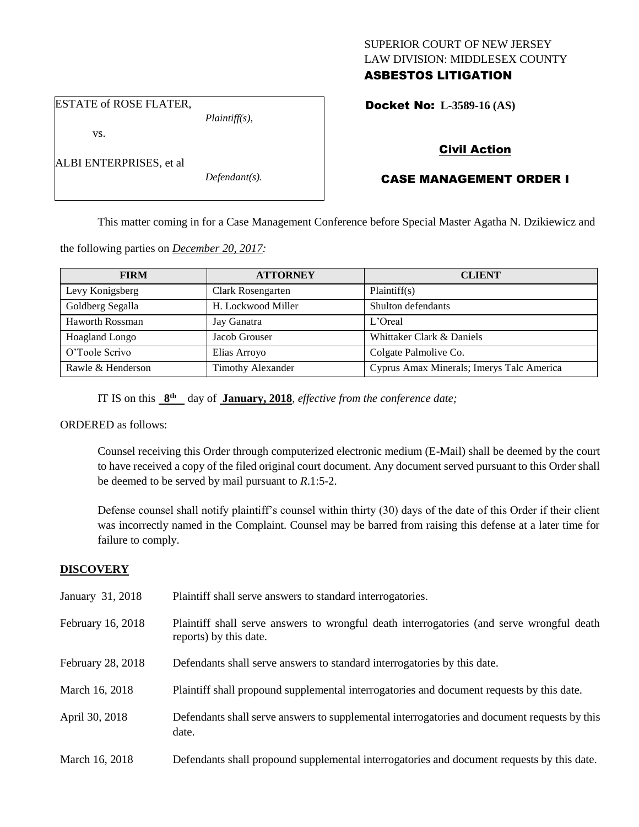## SUPERIOR COURT OF NEW JERSEY LAW DIVISION: MIDDLESEX COUNTY ASBESTOS LITIGATION

Docket No: **L-3589-16 (AS)** 

#### ESTATE of ROSE FLATER,

ALBI ENTERPRISES, et al

vs.

*Plaintiff(s),*

*Defendant(s).*

# Civil Action

## CASE MANAGEMENT ORDER I

This matter coming in for a Case Management Conference before Special Master Agatha N. Dzikiewicz and

the following parties on *December 20, 2017:*

| <b>FIRM</b>       | <b>ATTORNEY</b>          | <b>CLIENT</b>                             |
|-------------------|--------------------------|-------------------------------------------|
| Levy Konigsberg   | Clark Rosengarten        | Plaintiff(s)                              |
| Goldberg Segalla  | H. Lockwood Miller       | Shulton defendants                        |
| Haworth Rossman   | Jay Ganatra              | L'Oreal                                   |
| Hoagland Longo    | Jacob Grouser            | Whittaker Clark & Daniels                 |
| O'Toole Scrivo    | Elias Arroyo             | Colgate Palmolive Co.                     |
| Rawle & Henderson | <b>Timothy Alexander</b> | Cyprus Amax Minerals; Imerys Talc America |

IT IS on this  $8^{th}$  day of **January, 2018**, *effective from the conference date*;

## ORDERED as follows:

Counsel receiving this Order through computerized electronic medium (E-Mail) shall be deemed by the court to have received a copy of the filed original court document. Any document served pursuant to this Order shall be deemed to be served by mail pursuant to *R*.1:5-2.

Defense counsel shall notify plaintiff's counsel within thirty (30) days of the date of this Order if their client was incorrectly named in the Complaint. Counsel may be barred from raising this defense at a later time for failure to comply.

## **DISCOVERY**

| January 31, 2018  | Plaintiff shall serve answers to standard interrogatories.                                                          |
|-------------------|---------------------------------------------------------------------------------------------------------------------|
| February 16, 2018 | Plaintiff shall serve answers to wrongful death interrogatories (and serve wrongful death<br>reports) by this date. |
| February 28, 2018 | Defendants shall serve answers to standard interrogatories by this date.                                            |
| March 16, 2018    | Plaintiff shall propound supplemental interrogatories and document requests by this date.                           |
| April 30, 2018    | Defendants shall serve answers to supplemental interrogatories and document requests by this<br>date.               |
| March 16, 2018    | Defendants shall propound supplemental interrogatories and document requests by this date.                          |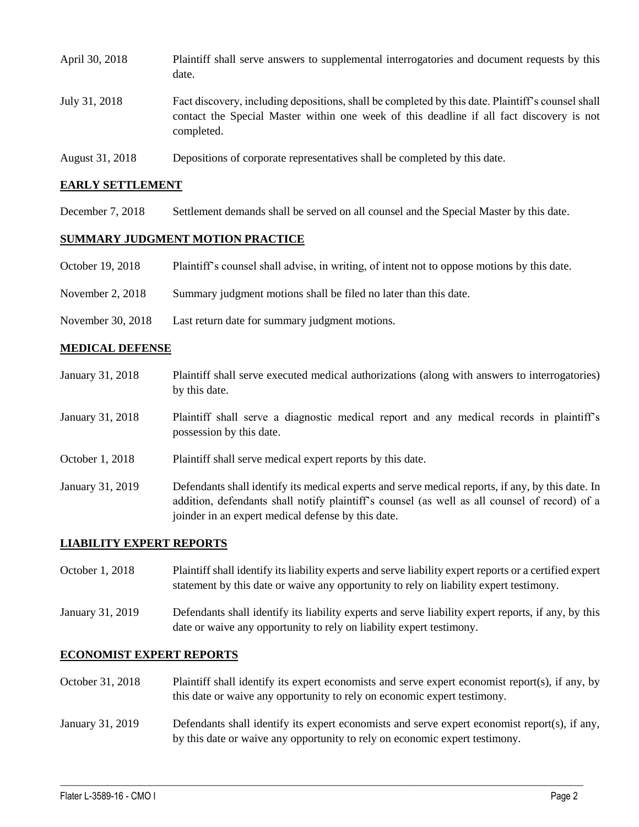| April 30, 2018  | Plaintiff shall serve answers to supplemental interrogatories and document requests by this<br>date.                                                                                                        |
|-----------------|-------------------------------------------------------------------------------------------------------------------------------------------------------------------------------------------------------------|
| July 31, 2018   | Fact discovery, including depositions, shall be completed by this date. Plaintiff's counsel shall<br>contact the Special Master within one week of this deadline if all fact discovery is not<br>completed. |
| August 31, 2018 | Depositions of corporate representatives shall be completed by this date.                                                                                                                                   |

#### **EARLY SETTLEMENT**

December 7, 2018 Settlement demands shall be served on all counsel and the Special Master by this date.

#### **SUMMARY JUDGMENT MOTION PRACTICE**

- October 19, 2018 Plaintiff's counsel shall advise, in writing, of intent not to oppose motions by this date.
- November 2, 2018 Summary judgment motions shall be filed no later than this date.
- November 30, 2018 Last return date for summary judgment motions.

#### **MEDICAL DEFENSE**

January 31, 2018 Plaintiff shall serve executed medical authorizations (along with answers to interrogatories) by this date. January 31, 2018 Plaintiff shall serve a diagnostic medical report and any medical records in plaintiff's possession by this date. October 1, 2018 Plaintiff shall serve medical expert reports by this date. January 31, 2019 Defendants shall identify its medical experts and serve medical reports, if any, by this date. In addition, defendants shall notify plaintiff's counsel (as well as all counsel of record) of a joinder in an expert medical defense by this date.

#### **LIABILITY EXPERT REPORTS**

- October 1, 2018 Plaintiff shall identify its liability experts and serve liability expert reports or a certified expert statement by this date or waive any opportunity to rely on liability expert testimony.
- January 31, 2019 Defendants shall identify its liability experts and serve liability expert reports, if any, by this date or waive any opportunity to rely on liability expert testimony.

#### **ECONOMIST EXPERT REPORTS**

- October 31, 2018 Plaintiff shall identify its expert economists and serve expert economist report(s), if any, by this date or waive any opportunity to rely on economic expert testimony.
- January 31, 2019 Defendants shall identify its expert economists and serve expert economist report(s), if any, by this date or waive any opportunity to rely on economic expert testimony.

 $\_$  ,  $\_$  ,  $\_$  ,  $\_$  ,  $\_$  ,  $\_$  ,  $\_$  ,  $\_$  ,  $\_$  ,  $\_$  ,  $\_$  ,  $\_$  ,  $\_$  ,  $\_$  ,  $\_$  ,  $\_$  ,  $\_$  ,  $\_$  ,  $\_$  ,  $\_$  ,  $\_$  ,  $\_$  ,  $\_$  ,  $\_$  ,  $\_$  ,  $\_$  ,  $\_$  ,  $\_$  ,  $\_$  ,  $\_$  ,  $\_$  ,  $\_$  ,  $\_$  ,  $\_$  ,  $\_$  ,  $\_$  ,  $\_$  ,